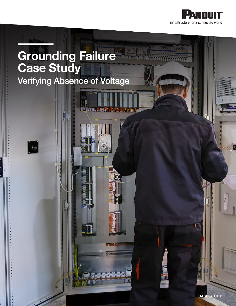

## Grounding Failure Case Study Verifying Absence of Voltage

 $\phi_{\rm eq}$ 

CASE STUDY

Ė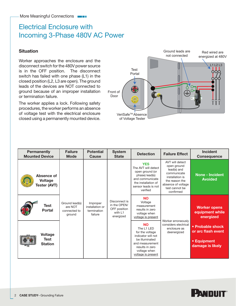## Electrical Enclosure with Incoming 3-Phase 480V AC Power

## **Situation**

Worker approaches the enclosure and the disconnect switch for the 480V power source is in the OFF position. The disconnect switch has failed with one phase (L1) in the closed position (L2, L3 are open). The ground leads of the devices are NOT connected to ground because of an improper installation or termination failure.

The worker applies a lock. Following safety procedures, the worker performs an absence of voltage test with the electrical enclosure closed using a permanently mounted device.



| <b>Permanently</b><br><b>Mounted Device</b>  | <b>Failure</b><br><b>Mode</b>                       | <b>Potential</b><br><b>Cause</b>                      | <b>System</b><br><b>State</b>                                         | <b>Detection</b>                                                                                                                                               | <b>Failure Effect</b>                                                                                                                                  | <b>Incident</b><br><b>Consequence</b>                                     |
|----------------------------------------------|-----------------------------------------------------|-------------------------------------------------------|-----------------------------------------------------------------------|----------------------------------------------------------------------------------------------------------------------------------------------------------------|--------------------------------------------------------------------------------------------------------------------------------------------------------|---------------------------------------------------------------------------|
| Absence of<br><b>Voltage</b><br>Tester (AVT) | Ground lead(s)<br>are NOT<br>connected to<br>ground | Improper<br>installation or<br>termination<br>failure | Disconnect is<br>in the OPEN/<br>OFF position<br>with L1<br>energized | <b>YES</b><br>The AVT will detect<br>open ground (or<br>phase) lead(s)<br>and communicate<br>the installation of<br>sensor leads is not<br>verified            | AVT will detect<br>open ground<br>lead(s) and<br>communicate<br>installation is<br>the reason the<br>absence of voltage<br>test cannot be<br>confirmed | <b>None - Incident</b><br><b>Avoided</b>                                  |
| Test<br><b>Portal</b>                        |                                                     |                                                       |                                                                       | <b>NO</b><br>Voltage<br>measurement<br>results in zero<br>voltage when<br>voltage is present                                                                   | Worker erroneously<br>considers electrical<br>enclosure as<br>deenergized                                                                              | <b>Worker opens</b><br>equipment while<br>energized                       |
| <b>Voltage</b><br>Test<br><b>Station</b>     |                                                     |                                                       |                                                                       | <b>NO</b><br>The L1 LED<br>for the voltage<br>indicator will not<br>be illuminated<br>and measurement<br>results in zero<br>voltage when<br>voltage is present |                                                                                                                                                        | • Probable shock<br>or arc flash event<br>• Equipment<br>damage is likely |